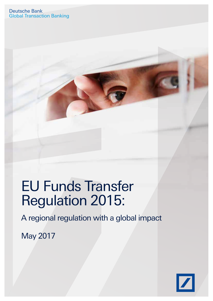# EU Funds Transfer Regulation 2015:

A regional regulation with a global impact

May 2017

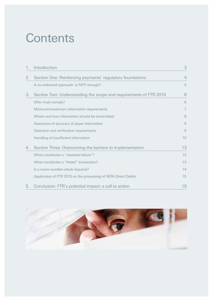## **Contents**

| 1. | Introduction                                                      | 3              |
|----|-------------------------------------------------------------------|----------------|
| 2. | Section One: Reinforcing payments' regulatory foundations         | 4              |
|    | A co-ordinated approach: is FATF enough?                          | $\overline{4}$ |
| 3. | Section Two: Understanding the scope and requirements of FTR 2015 | 6              |
|    | Who must comply?                                                  | 6              |
|    | Minimum/maximum information requirements                          | $\overline{7}$ |
|    | Where and how information should be transmitted                   | 8              |
|    | Assurance of accuracy of payer information                        | 9              |
|    | Detection and verification requirements                           | 9              |
|    | Handling of insufficient information                              | 10             |
| 4. | Section Three: Overcoming the barriers to implementation          | 13             |
|    | What constitutes a "repeated failure"?                            | 13             |
|    | What constitutes a "linked" transaction?                          | 13             |
|    | Is a name-number-check required?                                  | 14             |
|    | Application of FTR 2015 on the processing of SEPA Direct Debits   | 15             |
| 5. | Conclusion: FTR's potential impact: a call to action              | 16             |

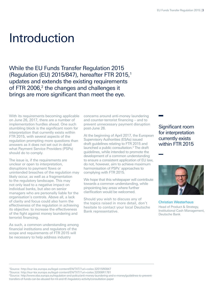### <span id="page-2-0"></span>Introduction

While the EU Funds Transfer Regulation 2015 (Regulation (EU) 2015/847), hereafter FTR 2015,1 updates and extends the existing requirements of FTR 2006,<sup>2</sup> the changes and challenges it brings are more significant than meet the eye.

With its requirements becoming applicable on June 26, 2017, there are a number of implementation hurdles ahead. One such stumbling block is the significant room for interpretation that currently exists within FTR 2015, with several aspects of the regulation prompting more questions than answers as it does not set out in detail what Payment Service Providers (PSPs) should do to comply.

The issue is, if the requirements are unclear or open to interpretation, disruptions to payment flows or unintended breaches of the regulation may likely occur, as well as a fragmentation to the regulatory landscape. This may not only lead to a negative impact on individual banks, but also on senior managers who are personally liable for the organisation's controls. Above all, a lack of clarity and focus could also harm the effectiveness of the regulation in achieving its objective: to increase the effectiveness of the fight against money laundering and terrorist financing.

As such, a common understanding among financial institutions and regulators of the scope and requirements of FTR 2015 will be necessary to help address industry

concerns around anti-money laundering and counter-terrorist financing – and to prevent unnecessary payment disruption post-June 26.

At the beginning of April 2017, the European Supervisory Authorities (ESAs) issued draft guidelines relating to FTR 2015 and launched a public consultation.<sup>3</sup> The draft guidelines, while intended to promote the development of a common understanding to ensure a consistent application of EU law, do not, however, aim to achieve maximum harmonisation of PSPs' approaches to complying with FTR 2015.

We hope that this whitepaper will contribute towards a common understanding, while pinpointing key areas where further clarification would be welcomed.

Should you wish to discuss any of the topics raised in more detail, don't hesitate to contact your local Deutsche Bank representative.

Significant room for interpretation currently exists within FTR 2015



Christian Westerhaus Head of Product & Strategy, Institutional Cash Management, Deutsche Bank

1 Source: http://eur-lex.europa.eu/legal-content/EN/TXT/?uri=celex:32015R0847 2 Source: http://eur-lex.europa.eu/legal-content/EN/TXT/?uri=celex:32006R1781

3 Source: http://www.eba.europa.eu/regulation-and-policy/anti-money-laundering-and-e-money/guidelines-to-preventtransfers-of-funds-can-be-abused-for-ml-and-tf/-/regulatory-activity/consultation-paper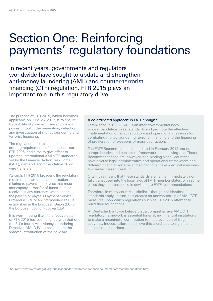### Section One: Reinforcing payments' regulatory foundations

In recent years, governments and regulators worldwide have sought to update and strengthen anti-money laundering (AML) and counter-terrorist financing (CTF) regulation. FTR 2015 plays an important role in this regulatory drive.

The purpose of FTR 2015, which becomes applicable on June 26, 2017, is to ensure traceability of payment transactions – a powerful tool in the prevention, detection and investigation of money laundering and terrorist financing.

The regulation updates and extends the existing requirements of its predecessor, FTR 2006, and aims to give effect to updated international AML/CTF standards set by the Financial Action Task Force (FATF), namely Recommendation 16 on wire transfers.

As such, FTR 2015 broadens the regulatory requirements around the information relating to payers and payees that must accompany a transfer of funds, sent or received in any currency, when either the payer's or payee's Payment Service Provider (PSP), or an intermediary PSP, is established in the European Union (EU) or the European Economic Area (EEA).

It is worth noting that the effective date of FTR 2015 has been aligned with that of the EU's fourth Anti Money Laundering Directive (AMLD IV) to help ensure the smooth introduction of the new AML/

#### <span id="page-3-0"></span>A co-ordinated approach: is FATF enough?

Established in 1989, FATF is an inter-governmental body whose mandate is to set standards and promote the effective implementation of legal, regulatory and operational measures for combating money laundering, terrorist financing and the financing of proliferation of weapons of mass destruction.

The FATF Recommendations, updated in February 2012, set out a comprehensive and consistent framework for achieving this. These Recommendations are, however, non-binding since "countries have diverse legal, administrative and operational frameworks and different financial systems and so cannot all take identical measures to counter these threats".4

Often, this means that these standards are neither immediately nor fully transposed into the local laws of FATF member states, or in some cases they are transposed in deviation to FATF recommendations.

Therefore, in many countries, similar – though not identical – standards apply. In turn, this creates an uneven terrain of AML/CTF measures upon which regulations such as FTR 2015 attempt to build their foundations.

At Deutsche Bank, we believe that a comprehensive AML/CTF regulatory framework is essential for enabling financial institutions to make a meaningful contribution to the prevention of illegal activities. Indeed, failure to achieve this could lead to significant societal repercussions.

4 Source: http://www.fatf-gafi.org/publications/fatfrecommendations/documents/fatf-recommendations.html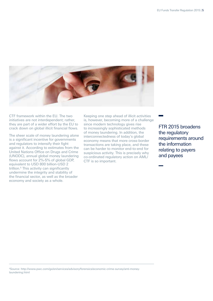

CTF framework within the EU. The two initiatives are not interdependent; rather, they are part of a wider effort by the EU to crack down on global illicit financial flows.

The sheer scale of money laundering alone is a significant incentive for governments and regulators to intensify their fight against it. According to estimates from the United Nations Office on Drugs and Crime (UNODC), annual global money laundering flows account for 2%-5% of global GDP, equivalent to USD 800 billion-USD 2 trillion.<sup>5</sup> This activity can significantly undermine the integrity and stability of the financial sector, as well as the broader economy and society as a whole.

Keeping one step ahead of illicit activities is, however, becoming more of a challenge since modern technology gives rise to increasingly sophisticated methods of money laundering. In addition, the interconnectedness of today's global economy means that more cross-border transactions are taking place, and these can be harder to monitor end-to-end for suspicious activity. This is precisely why co-ordinated regulatory action on AML/ CTF is so important.

FTR 2015 broadens the regulatory requirements around the information relating to payers and payees

5 Source: http://www.pwc.com/gx/en/services/advisory/forensics/economic-crime-survey/anti-moneylaundering.html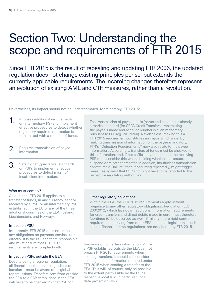### <span id="page-5-0"></span>Section Two: Understanding the scope and requirements of FTR 2015

Since FTR 2015 is the result of repealing and updating FTR 2006, the updated regulation does not change existing principles per se, but extends the currently applicable requirements. The incoming changes therefore represent an evolution of existing AML and CTF measures, rather than a revolution.

Nevertheless, its impact should not be underestimated. Most notably, FTR 2015:

|    | Imposes additional requirements<br>on intermediary PSPs to implement<br>effective procedures to detect whether<br>regulatory required information is<br>transmitted with a transfer of funds. | The transmission of payee details (name and account) is already<br>a market standard (for SEPA Credit Transfers, transmitting<br>the payee's name and account number is even mandatory<br>pursuant to EU Reg. 2012/260). Nevertheless, making this a<br>FTR 2015 requirement constitutes an important change. By   |  |  |  |
|----|-----------------------------------------------------------------------------------------------------------------------------------------------------------------------------------------------|--------------------------------------------------------------------------------------------------------------------------------------------------------------------------------------------------------------------------------------------------------------------------------------------------------------------|--|--|--|
|    | Requires transmission of payee<br>information.                                                                                                                                                | making transmission of information on the payee mandatory,<br>FTR's "Detection Requirements" now also relate to the payee<br>information. Accordingly, transfers of funds must be checked for<br>this information, and, if not sufficiently transmitted, the receiving                                             |  |  |  |
| 3. | Sets higher (qualitative) standards<br>on PSPs to implement effective<br>procedures to detect missing/<br>insufficient information.                                                           | PSP must consider this when deciding whether to execute,<br>suspend or reject the transfer. In addition, insufficient transmission<br>constitutes a "failure" that, if occurring repeatedly, might trigger<br>measures against that PSP and might have to be reported to the<br>respective regulatory authorities. |  |  |  |

#### <span id="page-5-1"></span>Who must comply?

As outlined, FTR 2015 applies to a transfer of funds, in any currency, sent or received by a PSP, or an intermediary PSP, established in the EU or any of the three additional countries of the EEA (Iceland, Liechtenstein, and Norway).

#### Impact on PSU

Importantly, FTR 2015 does not impose any obligations on payment service users directly. It is the PSPs that are responsible and must ensure that FTR 2015 requirements are complied with.

#### Impact on PSPs outside the EEA

Despite being a regional regulation, all financial institutions – regardless of location – must be aware of its global repercussions. Transfers sent from outside the EEA to a PSP established in the EEA will have to be checked by that PSP for

#### Other regulatory obligations

Within the EEA, the FTR 2015 requirements apply without prejudice to any other regulatory obligations. Regulation (EU) 260/2012, which lays down additional information requirements for credit transfers and direct debits made in euro, must therefore (continue to) be observed as well. Similarly, more rigid control requirements deriving from other EEA and local legislations, such as anti-financial-crime regulations, are not altered by FTR 2015.

transmission of certain information. While a PSP established outside the EEA cannot breach FTR 2015 requirements when sending transfers, it should still consider sending all the information required under FTR 2015 when sending a transfer to the EEA. This will, of course, only be possible to the extent permissible by the PSP's respective local law, in particular, local data protection laws.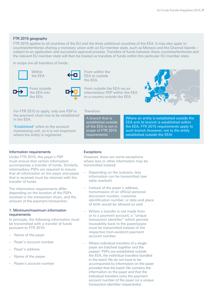#### FTR 2015 geography

FTR 2015 applies to all countries of the EU and the three additional countries of the EEA. It may also apply to countries/territories sharing a monetary union with an EU member state, such as Monaco and the Channel Islands – subject to an application and successful approval process. Transfers of funds between these countries/territories and the relevant EU member state will then be treated as transfers of funds within this particular EU member state.

In scope are all transfers of funds:





From within the EEA to outside the EEA







For FTR 2015 to apply, only one PSP in the payment chain has to be established in the EEA.

'Established' refers to the account maintaining unit, so it is not important where the entity is registered.

#### Information requirements

Under FTR 2015, the payer's PSP must ensure that certain information accompanies a transfer of funds. Similarly, intermediary PSPs are required to ensure that all information on the payer and payee that is received must be retained with the transfer of funds.

The information requirements differ depending on the location of the PSPs involved in the transaction chain, and the amount of the payment transaction:

#### <span id="page-6-0"></span>1. Minimum/maximum information requirements

In principle, the following information must be transmitted with a transfer of funds pursuant to FTR 2015:

- Name of the payer
- Payer's account number
- Payer's address
- Name of the payee
- Payee's account number

#### **Exceptions**

Therefore:

A branch that is established outside of the EEA is not in scope of FTR 2015 requirements

However, there are some exceptions where less or other information may be transmitted instead:

- Depending on the scenario, less information can be transmitted (see table overleaf).
- Instead of the payer's address, transmission of an official personal document number, customer identification number, or date and place of birth would be allowed as well.
- Where a transfer is not made from or to a payment account, a "unique transaction identifier" which permits traceability back to the payer/payee must be transmitted instead of the respective (non-existent) payment account number.
- Where individual transfers of a single payer are batched together and the payees' PSPs are established outside the EEA, the individual transfers bundled in the batch file do not have to be accompanied by information on the payer provided that the batch file contains the information on the payer and that the individual transfers carry the payment account number of the payer (or a unique transaction identifier respectively).

Where an entity is established outside the EEA and its branch is established within the EEA, FTR 2015 requirements apply to such branch (however, not to the entity established outside the EEA)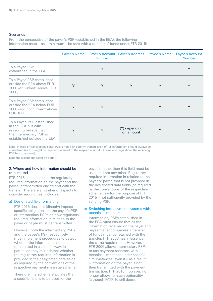#### Scenarios

From the perspective of the payer's PSP (established in the EEA), the following information must – as a minimum – be sent with a transfer of funds under FTR 2015:

|                                                                                                                                       |   | <b>Number</b> | Payer's Name Payer's Account Payer's Address Payee's Name |   | Payee's Account<br><b>Number</b> |
|---------------------------------------------------------------------------------------------------------------------------------------|---|---------------|-----------------------------------------------------------|---|----------------------------------|
| To a Payee PSP<br>established in the EEA                                                                                              |   | Y             |                                                           |   | Y                                |
| To a Payee PSP established<br>outside the EEA above EUR<br>1000 (or "linked" above EUR<br>1000)                                       | Y | Y             | Y                                                         | Y | Y                                |
| To a Payee PSP established<br>outside the EEA below EUR<br>1000 (and not "linked" above<br>EUR 1000)                                  | Y | Y             |                                                           | Y | Y                                |
| To a Payee PSP established<br>in the EEA but with<br>reason to believe that<br>the intermediary PSP is<br>established outside the EEA | Y | Y             | (Y) depending<br>on amount                                | Υ | Y                                |

Note: in case of transactions sent to/via a non-EEA country transmission of full information should always be considered (as this might be required pursuant to the respective non-EEA laws and regulations the receiving PSP has to observe).

Note the exceptions listed on page 7.

#### <span id="page-7-0"></span>2. Where and how information should be transmitted

FTR 2015 stipulates that the regulatory required information on the payer and the payee is transmitted end-to-end with the transfer. There are a number of aspects to consider around this, including:

#### a) Designated field formatting

FTR 2015 does not (directly) impose specific obligations on the payer's PSP or intermediary PSPs on how regulatory required information in relation to the payer or payee must be transmitted.

However, both the intermediary PSPs and the payee's PSP respectively must implement procedures to detect whether the information has been transmitted in a specific way. In particular, they must detect whether the regulatory required information is provided in the designated data fields as required by the conventions of the respective payment message scheme.

Therefore, if a scheme stipulates that a specific field is to be used for the

payer's name, then this field must be used and not any other. Regulatory required information in relation to the payer or payee that is not provided in the designated data fields (as required by the conventions of the respective scheme) is – for the purpose of FTR 2015 – not sufficiently provided by the sending PSP.

#### b) Switching into payment systems with technical limitations

Intermediary PSPs established in the EEA must ensure that all the information received on the payer and payee that accompanies a transfer of funds must be retained with the transfer. FTR 2006 has in essence the same requirement. However, FTR 2006 allows intermediary PSPs to use payment schemes with technical limitations under specific circumstances, even if – as a result – information on the payer is not then transmitted with the payment transaction. FTR 2015, however, no longer allows for such optionality (although FATF 16 still does).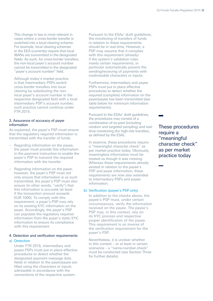This change in law is most relevant in cases where a cross-border transfer is switched into a local clearing scheme. For example, local clearing schemes in the EEA (currently) require that local IBANs are transmitted in the designated fields. As such, for cross-border transfers, the non-local payer's account number cannot be transmitted in the designated "payer's account number" field.

Although today's market practice is that intermediary PSPs switch cross-border transfers into local clearing by substituting the nonlocal payer's account number in the respective designated field with a local intermediary PSP's account number, such practice cannot continue under FTR 2015.

#### <span id="page-8-0"></span>3. Assurance of accuracy of payer information

As explained, the payer's PSP must ensure that the regulatory required information is transmitted with the transfer of funds.

- Regarding information on the payee, the payer must provide this information in the payment instruction to enable the payer's PSP to transmit the required information with the transfer.
- Regarding information on the payer, however, the payer's PSP must not only ensure that information is as such transmitted, the payer's PSP must also ensure (in other words, "verify") that this information is accurate (at least if the transaction amount exceeds EUR 1000). To comply with this requirement, a payer's PSP may rely on its existing KYC information on the payer. Accordingly, the payer's PSP can populate the regulatory required information from the payer's static KYC information to ensure its compliance with this requirement.

#### <span id="page-8-1"></span>4. Detection and verification requirements

#### a) Detection

Under FTR 2015, intermediary and payee PSPs must put in place effective procedures to detect whether the designated payment message data fields in relation to the payer/payee are filled using the characters or inputs admissible in accordance with the conventions of the respective system.

Pursuant to the ESAs' draft quidelines. the monitoring of transfers of funds in relation to these requirements should be in real-time. However, a PSP may assume that it complies with this requirement (already) if the system's validation rules meets certain requirements, in particular automatically prevent the sending/receiving of payments with inadmissible characters or inputs.

Furthermore, intermediary and payee PSPs must put in place effective procedures to detect whether the required (complete) information on the payer/payee has been transmitted (see table below for minimum information requirements).

Pursuant to the ESAs' draft guidelines, the procedures may consist of a combination of ex-post (including random and targeted sampling) and realtime monitoring (for high-risk transfers, as defined by the ESA).

In essence, these procedures require a "meaningful character check" as per market practice today. Obviously, meaningless information must be treated as though it was missing. Whereas these requirements already existed in relation to the payee's PSP and payer information, these requirements are now also extended to intermediary PSPs and payee information.

#### b) Verification (payee's PSP only)

In addition to the checks above, the payee's PSP must, under certain circumstances, verify the information received on the payee. The payee's PSP may, in this context, rely on its KYC process and respective proper identification of the payee. This requirement is an inverse of the verification requirement for the payer's PSP.

Nevertheless, it is unclear whether in this context – or at least in certain scenarios – a "name-number-check" must be conducted (see Section Three for further details).

These procedures require a "meaningful character check" as per market practice today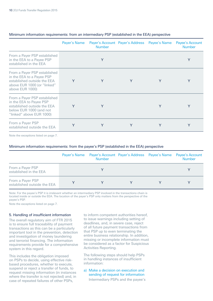|                                                                                                                                               |        | <b>Number</b> | Payer's Name Payer's Account Payer's Address Payee's Name |   | Payee's Account<br><b>Number</b> |
|-----------------------------------------------------------------------------------------------------------------------------------------------|--------|---------------|-----------------------------------------------------------|---|----------------------------------|
| From a Payer PSP established<br>in the EEA to a Payee PSP<br>established in the EEA                                                           |        | Y             |                                                           |   | Y                                |
| From a Payer PSP established<br>in the EEA to a Payee PSP<br>established outside the EEA<br>above EUR 1000 (or "linked"<br>above EUR 1000)    | Y      | Y             | Y                                                         | Y | Y                                |
| From a Payer PSP established<br>in the EEA to Payee PSP<br>established outside the EEA<br>below EUR 1000 (and not<br>"linked" above EUR 1000) | Y      | Y             |                                                           | Y | Y                                |
| From a Payer PSP<br>established outside the EEA                                                                                               | $\vee$ | Y             | Y                                                         | Y | Y                                |

#### Minimum information requirements: from an intermediary PSP (established in the EEA) perspective

Note the exceptions listed on page 7.

#### Minimum information requirements: from the payee's PSP (established in the EEA) perspective

|                                                 | Payer's Name Payer's Account Payer's Address Payee's Name<br><b>Number</b> |  | <b>Payee's Account</b><br><b>Number</b> |
|-------------------------------------------------|----------------------------------------------------------------------------|--|-----------------------------------------|
| From a Payer PSP<br>established in the EEA      |                                                                            |  |                                         |
| From a Payer PSP<br>established outside the EEA |                                                                            |  |                                         |

Note: For the payee's PSP it is irrelevant whether an intermediary PSP involved in the transactions chain is located inside or outside the EEA. The location of the payer's PSP only matters from the perspective of the payee's PSP.

Note the exceptions listed on page 7.

#### <span id="page-9-0"></span>5. Handling of insufficient information

The overall regulatory aim of FTR 2015 is to ensure full traceability of payment transactions as this can be a particularly important tool in the prevention, detection and investigation of money laundering and terrorist financing. The information requirements provide for a comprehensive system in this regard.

This includes the obligation imposed on PSPs to decide, using effective riskbased procedures, whether to execute, suspend or reject a transfer of funds, to request missing information (in instances where the transfer is not rejected) and, in case of repeated failures of other PSPs,

to inform competent authorities hereof, to issue warnings including setting of deadlines, and, in severe case, reject of all future payment transactions from that PSP up to even terminating the entire business relationship. In addition, missing or incomplete information must be considered as a factor for Suspicious Activities Reporting.

The following steps should help PSPs in handling instances of insufficient information:

a) Make a decision on execution and sending of request for information Intermediary PSPs and the payee's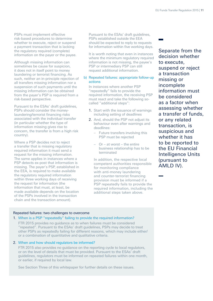PSPs must implement effective risk-based procedures to determine whether to execute, reject or suspend a payment transaction that is lacking the regulatory required (complete) information on the payer or the payee.

Although missing information can sometimes be cause for suspicion, it does not in itself point to money laundering or terrorist financing. As such, neither an in-principle rejection of all transfers missing information nor a suspension of such payments until the missing information can be obtained from the payer's PSP is required from a risk-based perspective.

Pursuant to the ESAs' draft quidelines. PSPs should consider the moneylaundering/terrorist financing risks associated with the individual transfer (in particular whether the type of information missing gives rise to concern, the transfer is from a high risk country).

Where a PSP decides not to reject a transfer that is missing regulatory required information it must send a request for the missing information. The same applies in instances where a PSP detects ex-post that information is missing. The payer's PSP, established in the EEA, is required to make available the regulatory required information within three working days of receiving the request for information (the information that must, at least, be made available depends on the location of the PSPs involved in the transaction chain and the transaction amount).

Pursuant to the ESAs' draft quidelines. PSPs established outside the EEA should be expected to reply to requests for information within five working days.

It is worth noting that even in instances where the minimum regulatory required information is not missing, the payee's PSP or intermediary PSP can still request additional information.

#### b) Repeated failures: appropriate follow-up actions

In instances where another PSP "repeatedly" fails to provide the required information, the receiving PSP must react and take the following socalled "additional steps":

- 1. Start with the issuance of warnings including setting of deadlines
- 2. And, should the PSP not adjust its behaviour even after warnings and deadlines:
	- Future transfers involving this PSP must be rejected
	- Or at worst the entire business relationship has to be terminated

In addition, the respective local competent authorities responsible for monitoring compliance with anti-money laundering and counter-terrorist financing provision must be informed if a PSP repeatedly fails to provide the required information, including the additional steps taken above.

Separate from the decision whether to execute, suspend or reject a transaction missing or incomplete information must be considered as a factor when assessing whether a transfer of funds, or any related transaction, is suspicious and whether it has to be reported to the EU Financial Intelligence Units (pursuant to AMLD IV).

#### Repeated failures: two challenges to overcome

#### 1. When is a PSP "repeatedly" failing to provide the required information?

FTR 2015 provides no guidance as to when failures must be considered "repeated". Pursuant to the ESAs' draft guidelines, PSPs may decide to treat other PSPs as repeatedly failing for different reasons, which may include either/ or a combination of quantitative and qualitative criteria.

#### 2. When and how should regulators be informed?

FTR 2015 also provides no guidance on the reporting cycle to local regulators, or on the level of details that must be provided. Pursuant to the ESAs' draft guidelines, regulators must be informed on repeated failures within one month, or earlier, if required by local law.

See Section Three of this whitepaper for further details on these issues.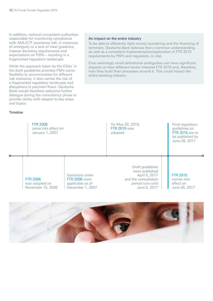In addition, national competent authorities responsible for monitoring compliance with AML/CTF provisions will, in instances of ambiguity or a lack of clear guidance, impose deviating requirements and expectations on PSPs – resulting in a fragmented regulatory landscape.

While the approach taken by the ESAs' in the draft guidelines provides PSPs some flexibility to accommodate for different risk scenarios, it also carries the risk of a fragmented regulatory landscape and disruptions in payment flows. Deutsche Bank would therefore welcome further dialogue during the consultancy phase to provide clarity with respect to key areas and topics.

#### Timeline

#### An impact on the entire industry

To be able to efficiently fight money laundering and the financing of terrorism, Deutsche Bank believes that a common understanding, as well as a consistent implementation/application of FTR 2015 requirements by PSPs and regulators, is vital.

Even seemingly small definitional ambiguities can have significant impacts on how different banks interpret FTR 2015 and, therefore, how they build their processes around it. This could impact the entire banking industry.



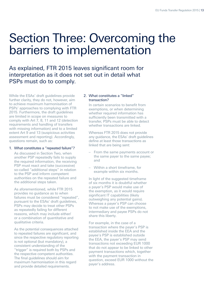### <span id="page-12-0"></span>Section Three: Overcoming the barriers to implementation

As explained, FTR 2015 leaves significant room for interpretation as it does not set out in detail what PSPs must do to comply.

While the ESAs' draft guidelines provide further clarity, they do not, however, aim to achieve maximum harmonisation of PSPs' approaches to complying with FTR 2015. Furthermore, the draft quidelines are limited in scope on measures to comply with Art 7, 8, 11 and 12 (detection requirements and handling of transfers with missing information) and to a limited extent Art 9 and 13 (suspicious activities assessment and reporting). Accordingly, questions remain, such as:

#### 1. What constitutes a "repeated failure"?

As discussed in Section Two, when another PSP repeatedly fails to supply the required information, the receiving PSP must react and take (successive) so-called "additional steps" in relation to the PSP and inform competent authorities on the repeated failure and the additional steps taken.

As aforementioned, while FTR 2015 provides no guidance as to when failures must be considered "repeated", pursuant to the ESAs' draft guidelines, PSPs may decide to treat other PSPs as repeatedly failing for different reasons, which may include either/ or a combination of quantitative and qualitative criteria.

As the potential consequences attached to repeated failures are significant, and since the respective regulatory reporting is not optional (but mandatory), a consistent understanding of the "trigger" is required both by PSPs and the respective competent authorities. The final guidelines should aim for maximum harmonisation in this regard and provide detailed requirements.

#### 2. What constitutes a "linked" transaction?

In certain scenarios to benefit from exemptions, or when determining whether required information has sufficiently been transmitted with a transfer, PSPs must be able to detect whether transactions are linked.

Whereas FTR 2015 does not provide any guidance, the ESAs' draft guidelines define at least those transactions as linked that are being sent:

- From the same payments account or the same payer to the same payee; and
- Within a short timeframe, for example within six months.

In light of the suggested timeframe of six months it is doubtful whether a payer's PSP would make use of the exemption, as it would require significant IT capabilities (likely outweighing any potential gains). Whereas a payer's PSP can choose to not make use of the exemptions, intermediary and payee PSPs do not share this liberty.

For example, in the case of a transaction where the payer's PSP is established inside the EEA and the payee's PSP is established outside the EEA, the payer's PSP may send transactions not exceeding EUR 1000 that do not appear to be linked to other payment transactions which, together with the payment transaction in question, exceed EUR 1000 without the payer's address.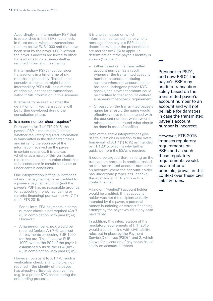Accordingly, an intermediary PSP that is established in the EEA must check, in these cases, whether transactions that are below EUR 1000 and that have been sent by the payer's PSP without the payer's address are linked to other transactions to determine whether required information is missing.

If intermediary PSPs must consider transactions in a timeframe of six months as potentially "linked", one conceivable reaction might be that intermediary PSPs will, as a matter of principle, not accept transactions without full information in this scenario.

It remains to be seen whether the definition of linked transactions will be further developed during the consultation phase.

#### 3. Is a name-number-check required?

<span id="page-13-0"></span>Pursuant to Art 7 of FTR 2015, the payee's PSP is required to (i) detect whether regulatory required information is transmitted in the designated fields and (ii) verify the accuracy of the information received on the payee in certain scenarios. It is unclear, whether as a result of this verification requirement, a name-number-check has to be conducted in certain scenarios or under certain conditions.

One interpretation is that, in instances where the payment is to be credited to a payee's payment account (and the payee's PSP has no reasonable grounds for suspecting money laundering or terrorist financing) pursuant to Art 7 (1) to (4) FTR 2015:

- For all intra-EEA payments, a namenumber-check is not required (Art 7 (3) in combination with para (2) (a). However;
- A name-number-check would be required (unless Art 7 (5) applies) for payments exceeding EUR 1000 (or that are "linked" above EUR 1000) where the PSP of the payer is established outside the EEA (Art 7 (3) in combination with para (2) (b)).

However, pursuant to Art 7 (5) such a verification check is, in principle, not required if the identity of the payee has already sufficiently been verified (e.g. in a proper KYC check during the onboarding process).

It is unclear, based on which information contained in a payment message if the payee's PSP should determine whether the preconditions are met for Art 7 (5) to apply, i.e. determination if the payee's identity is known ("verified"):

- Either based on the transmitted account number (as a result, whenever the transmitted account number matches an existing account where the account holder has been undergone proper KYC checks, the payment amount could be credited to that account without a name-number-check requirement).
- Or based on the transmitted payee's name (as a result, the name would effectively have to be matched with the account number, which would raise a question around what should be done in case of conflict).

Both of the above interpretations give rise to questions in relation to the overall framework of Art 7 (1) to (5) as intended by FTR 2015, which is why further guidance from the ESAs is required.

It could be argued that, as long as the transaction amount is credited based on the transmitted account number to an account where the account holder has undergone proper KYC checks, the intention of FTR 2015 in this context is met:

A known ("verified") account holder would be credited. If that account holder was not the recipient actually intended by the payer, a potential money-laundering or terrorist financing attempt by the payer would in any case have failed.

In addition, this interpretation of the regulatory requirements of FTR 2015 would also be in line with civil liability rules put in place by the Payment Service Directives (PSD) 1 and 2, which allows for execution of payments based solely on account numbers.

Pursuant to PSD1, and now PSD2, the payee's PSP may credit a transaction solely based on the transmitted payee's account number to an account and will not be liable for damages in case the transmitted payee's account number is incorrect.

However, FTR 2015 imposes regulatory requirements on PSPs and as such these regulatory requirements would, as a matter of principle, prevail in this context over these civil liability rules.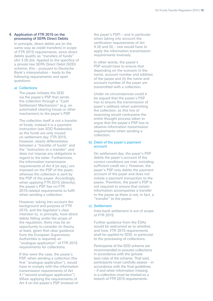#### <span id="page-14-0"></span>4. Application of FTR 2015 on the processing of SEPA Direct Debits

In principle, direct debits are (in the same way as credit transfers) in scope of FTR 2015 requirements, since direct debits qualify as "transfers of funds" (Art 3 (9) (b)). Applied to the specifics of a private law SEPA Direct Debit (SDD) scheme, this – pursuant to Deutsche Bank's interpretation – leads to the following requirements and open questions:

#### a) Collections

The payee initiates the SDD via the payee's PSP that sends the collection through a "Cash Settlement Mechanism" (e.g. an automated clearing house or other mechanism) to the payer's PSP.

The collection itself is not a transfer of funds; instead it is a payment instruction (see SDD Rulebooks) as the funds are only moved on settlement day. FTR 2015, however, clearly differentiates between a "transfer of funds" and the "instruction to a transfer" and does not impose any obligations in regard to the latter. Furthermore, the information transmission requirements of Art 4 (et sqq.) are imposed on the PSP of the payer, whereas the collection is sent by the PSP of the payee. Accordingly, when applying FTR 2015 (directly), the payee's PSP has no FTR 2015-related requirements to fulfil when sending a collection.

However, taking into account the background and purpose of FTR 2015, and the legislator's clear intention to, in principle, have direct debits falling under the scope of the regulation, there may be an opportunity to consider (in theory, at least, given that clear guidance from the European Supervisory Authorities is required) an "analogue application" of FTR 2015 requirements for collections.

If this were the case, the payee's PSP, when sending a collection (the first "analogue application"), would have to comply with the information transmission requirements of Art 4 ("second analogue application"). When applying the requirements of Art 4 on the payee's PSP (instead of

the payer's PSP) – and in particular when taking into account the verification requirements of Art 4 (4) and (5) – one would have to apply the information transmission requirements inversely.

In other words, the payee's PSP would have to ensure that depending on the scenario (i) the name, account number and address of the payee and (ii) the name and account number of the payer are transmitted with a collection.

Under no circumstances could it be argued that the payee's PSP has to ensure the transmission of payer's address when submitting the collection, as this line of reasoning would contravene the entire thought process taken to argue that the payee's PSP has to observe information transmission requirements when sending a collection.

#### b) Debit of the payer's payment account

On settlement day, the payer's PSP debits the payer's account (if the correct conditions are met, including sufficient credit etc.). However, the payer's PSP only debits the payment account of the payer and does not initiate a payment transaction to the payee. Therefore, the payer's PSP is not required to ensure that certain information accompanies a transfer to the payee as there is not, in fact, a "transfer" to the payee.

#### c) Settlement

Inter-bank settlement is out of scope of FTR 2015.

Further guidance from the ESAs would be welcomed as to whether, and how, FTR 2015 requirements shall be applied to SDD, in particular to the processing of collections.

Participants of the SDD scheme are recommended to process collections in accordance with the (private law) rules of the scheme. That said, participants must carefully assess – in accordance with the final guidelines – if and when information missing in a collection must be treated as a breach of FTR 2015 requirements.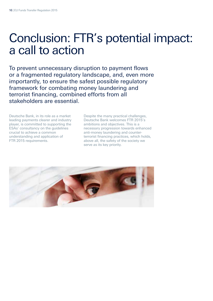### Conclusion: FTR's potential impact: a call to action

To prevent unnecessary disruption to payment flows or a fragmented regulatory landscape, and, even more importantly, to ensure the safest possible regulatory framework for combating money laundering and terrorist financing, combined efforts from all stakeholders are essential.

Deutsche Bank, in its role as a market leading payments clearer and industry player, is committed to supporting the ESAs' consultancy on the guidelines crucial to achieve a common understanding and application of FTR 2015 requirements.

Despite the many practical challenges, Deutsche Bank welcomes FTR 2015's ambitions and objectives. This is a necessary progression towards enhanced anti-money laundering and counterterrorist financing practices, which holds, above all, the safety of the society we serve as its key priority.